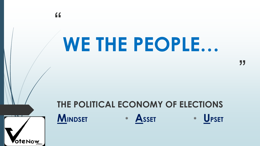# WE THE PEOPLE...

 $66$ 

**oteNow** 

#### THE POLITICAL ECONOMY OF ELECTIONS MINDSET **UPSET** \* ASSET  $\ast$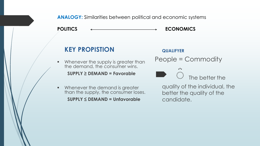**ANALOGY:** Similarities between political and economic systems

POLITICS  $\longleftrightarrow$  ECONOMICS

#### **KEY PROPISTION**

**Whenever the supply is greater than** the demand, the consumer wins.

#### **SUPPLY ≥ DEMAND = Favorable**

**Whenever the demand is greater** than the supply, the consumer loses. **SUPPLY ≤ DEMAND = Unfavorable** 

**QUALIFYER**  People = Commodity ◌ ֒ The better the

quality of the individual, the better the quality of the candidate.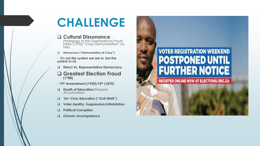## **CHALLENGE**

#### **Cultural Dissonance** -

Pedagogy of the Oppressed by Paulo Freire (1970)/"Crazy Demonstration" by Fela

- **Democracy ("Demonstration of Crazy")**
- *- It's not the system we are in, but the system in Us.*
- **Direct Vs. Representative Democracy**
- **Greatest Election Fraud (1788)**
- **- 19th Amendment (1920)/15th (1870)**
- **Death of Education/**Warped Acculturation
- **'Un'-Civic Education ("Civil-WAR")**
- **Voter Apathy, Suppression/Intimidation**
- **Political Corruption**
- **Chronic Incompetence**

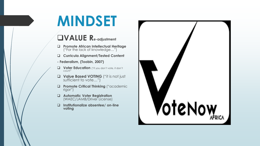## **MINDSET**

#### **VALUE Re-adjustment**

- **Promote African Intellectual Heritage**  ("For the lack of knowledge…")
- **Curricula Alignment/Tested Content**
- **- Federalism, (Toobin, 2007)**
- **U** Voter Education ("if you don't vote, it don't count"
- **Value Based VOTING** ("it is not just sufficient to vote…")
- **Promote Critical Thinking ("academic** rigor")
- **Automatic Voter Registration**  (WAEC/JAMB/Driver License)
- **Institutionalize absentee/ on-line voting**

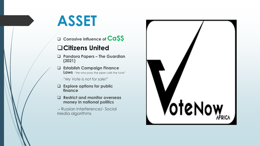## **ASSET**

**Corrosive influence of Ca\$\$**

#### **Citizens United**

- **Pandora Papers – The Guardian (2021)**
- **Establish Campaign Finance Laws** -"He who pays the piper calls the tune"
	- *"My Vote is not for sale!"*
- **Explore options for public finance**
- **Restrict and monitor overseas money in national politics**
- **-** Russian Interference/- Social Media algorithms